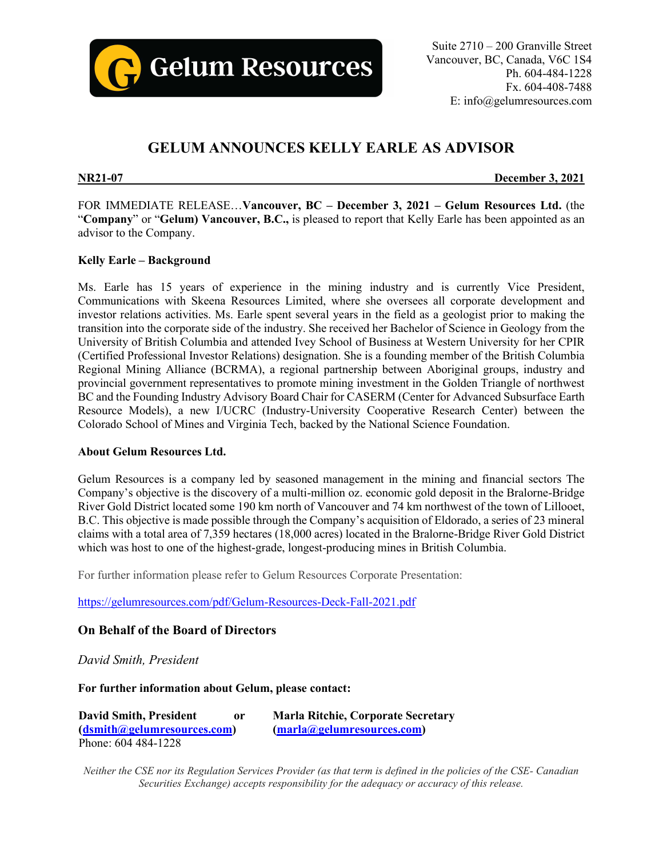

# **GELUM ANNOUNCES KELLY EARLE AS ADVISOR**

**NR21-07 December 3, 2021**

FOR IMMEDIATE RELEASE…**Vancouver, BC – December 3, 2021 – Gelum Resources Ltd.** (the "**Company**" or "**Gelum) Vancouver, B.C.,** is pleased to report that Kelly Earle has been appointed as an advisor to the Company.

### **Kelly Earle – Background**

Ms. Earle has 15 years of experience in the mining industry and is currently Vice President, Communications with Skeena Resources Limited, where she oversees all corporate development and investor relations activities. Ms. Earle spent several years in the field as a geologist prior to making the transition into the corporate side of the industry. She received her Bachelor of Science in Geology from the University of British Columbia and attended Ivey School of Business at Western University for her CPIR (Certified Professional Investor Relations) designation. She is a founding member of the British Columbia Regional Mining Alliance (BCRMA), a regional partnership between Aboriginal groups, industry and provincial government representatives to promote mining investment in the Golden Triangle of northwest BC and the Founding Industry Advisory Board Chair for CASERM (Center for Advanced Subsurface Earth Resource Models), a new I/UCRC (Industry-University Cooperative Research Center) between the Colorado School of Mines and Virginia Tech, backed by the National Science Foundation.

#### **About Gelum Resources Ltd.**

Gelum Resources is a company led by seasoned management in the mining and financial sectors The Company's objective is the discovery of a multi-million oz. economic gold deposit in the Bralorne-Bridge River Gold District located some 190 km north of Vancouver and 74 km northwest of the town of Lillooet, B.C. This objective is made possible through the Company's acquisition of Eldorado, a series of 23 mineral claims with a total area of 7,359 hectares (18,000 acres) located in the Bralorne-Bridge River Gold District which was host to one of the highest-grade, longest-producing mines in British Columbia.

For further information please refer to Gelum Resources Corporate Presentation:

<https://gelumresources.com/pdf/Gelum-Resources-Deck-Fall-2021.pdf>

## **On Behalf of the Board of Directors**

*David Smith, President*

**For further information about Gelum, please contact:**

| <b>David Smith, President</b> | or | <b>Marla Ritchie, Corporate Secretary</b> |
|-------------------------------|----|-------------------------------------------|
| (dsmith@gelumresources.com)   |    | (marla@gelumresources.com)                |
| Phone: 604 484-1228           |    |                                           |

Neither the CSE nor its Regulation Services Provider (as that term is defined in the policies of the CSE- Canadian *Securities Exchange) accepts responsibility for the adequacy or accuracy of this release.*